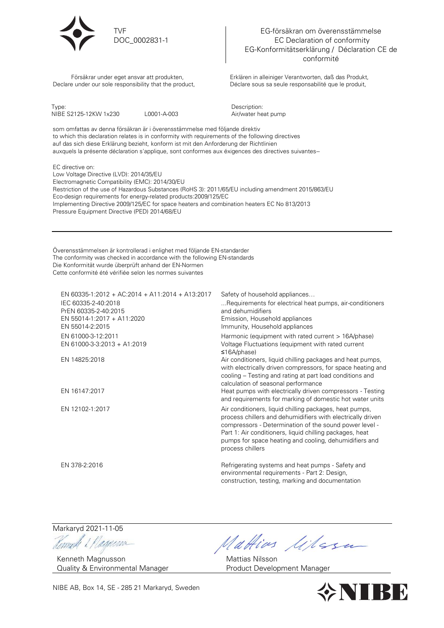

EG-försäkran om överensstämmelse EC Declaration of conformity EG-Konformitätserklärung / Déclaration CE de conformité

 Försäkrar under eget ansvar att produkten, Declare under our sole responsibility that the product,

TVF

DOC\_0002831-1

Erklären in alleiniger Verantworten, daß das Produkt, Déclare sous sa seule responsabilité que le produit,

| Type:                                                                       |             | Description:                                                                                     |
|-----------------------------------------------------------------------------|-------------|--------------------------------------------------------------------------------------------------|
| NIBE S2125-12KW 1x230                                                       | L0001-A-003 | Air/water heat pump                                                                              |
| som omfattas av denna försäkran är i överensstämmelse med följande direktiv |             |                                                                                                  |
|                                                                             |             | to which this declaration relates is in conformity with requirements of the following directives |

 ${\rm ch}$  this declaration relates is in conformity with requirements of the following directives auf das sich diese Erklärung bezieht, konform ist mit den Anforderung der Richtlinien auxquels la présente déclaration s'applique, sont conformes aux éxigences des directives suivantes--

EC directive on: Low Voltage Directive (LVD): 2014/35/EU Electromagnetic Compatibility (EMC): 2014/30/EU Restriction of the use of Hazardous Substances (RoHS 3): 2011/65/EU including amendment 2015/863/EU Eco-design requirements for energy-related products:2009/125/EC Implementing Directive 2009/125/EC for space heaters and combination heaters EC No 813/2013 Pressure Equipment Directive (PED) 2014/68/EU

Överensstämmelsen är kontrollerad i enlighet med följande EN-standarder The conformity was checked in accordance with the following EN-standards Die Konformität wurde überprüft anhand der EN-Normen Cette conformité été vérifiée selon les normes suivantes

| EN 60335-1:2012 + AC:2014 + A11:2014 + A13:2017<br>IEC 60335-2-40:2018<br>PrEN 60335-2-40:2015<br>EN 55014-1:2017 + A11:2020<br>EN 55014-2:2015 | Safety of household appliances<br>Requirements for electrical heat pumps, air-conditioners<br>and dehumidifiers<br>Emission, Household appliances<br>Immunity, Household appliances                                                                                                                                        |
|-------------------------------------------------------------------------------------------------------------------------------------------------|----------------------------------------------------------------------------------------------------------------------------------------------------------------------------------------------------------------------------------------------------------------------------------------------------------------------------|
| EN 61000-3-12:2011<br>EN 61000-3-3:2013 + A1:2019                                                                                               | Harmonic (equipment with rated current > 16A/phase)<br>Voltage Fluctuations (equipment with rated current<br>$\leq$ 16A/phase)                                                                                                                                                                                             |
| EN 14825:2018                                                                                                                                   | Air conditioners, liquid chilling packages and heat pumps,<br>with electrically driven compressors, for space heating and<br>cooling – Testing and rating at part load conditions and<br>calculation of seasonal performance                                                                                               |
| EN 16147:2017                                                                                                                                   | Heat pumps with electrically driven compressors - Testing<br>and requirements for marking of domestic hot water units                                                                                                                                                                                                      |
| EN 12102-1:2017                                                                                                                                 | Air conditioners, liquid chilling packages, heat pumps,<br>process chillers and dehumidifiers with electrically driven<br>compressors - Determination of the sound power level -<br>Part 1: Air conditioners, liquid chilling packages, heat<br>pumps for space heating and cooling, dehumidifiers and<br>process chillers |
| EN 378-2:2016                                                                                                                                   | Refrigerating systems and heat pumps - Safety and<br>environmental requirements - Part 2: Design,<br>construction, testing, marking and documentation                                                                                                                                                                      |

Markaryd 2021-11-05

Remah & Plaguera

Kenneth Magnusson Quality & Environmental Manager

Mattias lilesu

Mattias Nilsson Product Development Manager



NIBE AB, Box 14, SE - 285 21 Markaryd, Sweden